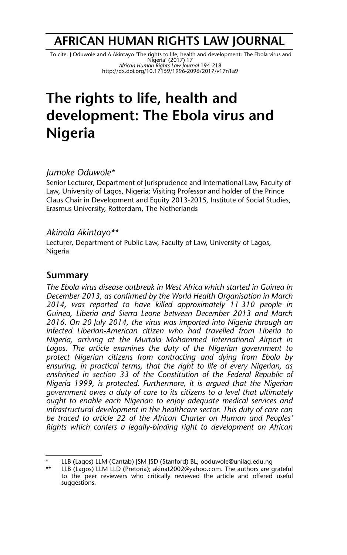## **AFRICAN HUMAN RIGHTS LAW JOURNAL**

 To cite: J Oduwole and A Akintayo 'The rights to life, health and development: The Ebola virus and Nigeria' (2017) 17 *African Human Rights Law Journal* 194-218 http://dx.doi.org/10.17159/1996-2096/2017/v17n1a9

# **The rights to life, health and development: The Ebola virus and Nigeria**

#### *Jumoke Oduwole\**

Senior Lecturer, Department of Jurisprudence and International Law, Faculty of Law, University of Lagos, Nigeria; Visiting Professor and holder of the Prince Claus Chair in Development and Equity 2013-2015, Institute of Social Studies, Erasmus University, Rotterdam, The Netherlands

#### *Akinola Akintayo\*\**

Lecturer, Department of Public Law, Faculty of Law, University of Lagos, Nigeria

## **Summary**

*The Ebola virus disease outbreak in West Africa which started in Guinea in December 2013, as confirmed by the World Health Organisation in March 2014, was reported to have killed approximately 11 310 people in Guinea, Liberia and Sierra Leone between December 2013 and March 2016. On 20 July 2014, the virus was imported into Nigeria through an infected Liberian-American citizen who had travelled from Liberia to Nigeria, arriving at the Murtala Mohammed International Airport in Lagos. The article examines the duty of the Nigerian government to protect Nigerian citizens from contracting and dying from Ebola by ensuring, in practical terms, that the right to life of every Nigerian, as enshrined in section 33 of the Constitution of the Federal Republic of Nigeria 1999, is protected. Furthermore, it is argued that the Nigerian government owes a duty of care to its citizens to a level that ultimately ought to enable each Nigerian to enjoy adequate medical services and infrastructural development in the healthcare sector. This duty of care can be traced to article 22 of the African Charter on Human and Peoples' Rights which confers a legally-binding right to development on African*

LLB (Lagos) LLM (Cantab) JSM JSD (Stanford) BL; ooduwole@unilag.edu.ng

LLB (Lagos) LLM LLD (Pretoria); akinat2002@yahoo.com. The authors are grateful to the peer reviewers who critically reviewed the article and offered useful suggestions.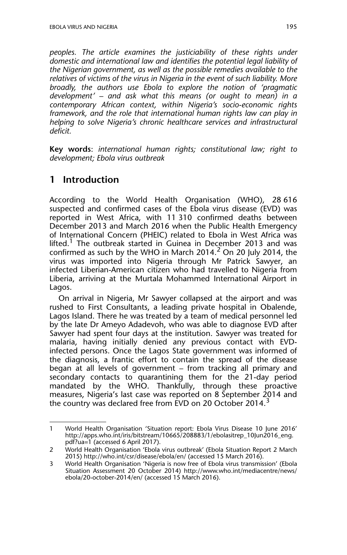*peoples. The article examines the justiciability of these rights under domestic and international law and identifies the potential legal liability of the Nigerian government, as well as the possible remedies available to the relatives of victims of the virus in Nigeria in the event of such liability. More broadly, the authors use Ebola to explore the notion of 'pragmatic development' – and ask what this means (or ought to mean) in a contemporary African context, within Nigeria's socio-economic rights framework, and the role that international human rights law can play in helping to solve Nigeria's chronic healthcare services and infrastructural deficit.*

**Key words**: *international human rights; constitutional law; right to development; Ebola virus outbreak*

## **1 Introduction**

According to the World Health Organisation (WHO), 28 616 suspected and confirmed cases of the Ebola virus disease (EVD) was reported in West Africa, with 11 310 confirmed deaths between December 2013 and March 2016 when the Public Health Emergency of International Concern (PHEIC) related to Ebola in West Africa was lifted.<sup>1</sup> The outbreak started in Guinea in December 2013 and was confirmed as such by the WHO in March 2014.<sup>2</sup> On 20 July 2014, the virus was imported into Nigeria through Mr Patrick Sawyer, an infected Liberian-American citizen who had travelled to Nigeria from Liberia, arriving at the Murtala Mohammed International Airport in Lagos.

On arrival in Nigeria, Mr Sawyer collapsed at the airport and was rushed to First Consultants, a leading private hospital in Obalende, Lagos Island. There he was treated by a team of medical personnel led by the late Dr Ameyo Adadevoh, who was able to diagnose EVD after Sawyer had spent four days at the institution. Sawyer was treated for malaria, having initially denied any previous contact with EVDinfected persons. Once the Lagos State government was informed of the diagnosis, a frantic effort to contain the spread of the disease began at all levels of government – from tracking all primary and secondary contacts to quarantining them for the 21-day period mandated by the WHO. Thankfully, through these proactive measures, Nigeria's last case was reported on 8 September 2014 and the country was declared free from EVD on 20 October 2014.<sup>3</sup>

<sup>1</sup> World Health Organisation 'Situation report: Ebola Virus Disease 10 June 2016' http://apps.who.int/iris/bitstream/10665/208883/1/ebolasitrep\_10Jun2016\_eng. pdf?ua=1 (accessed 6 April 2017).

<sup>2</sup> World Health Organisation 'Ebola virus outbreak' (Ebola Situation Report 2 March 2015) http://who.int/csr/disease/ebola/en/ (accessed 15 March 2016).

<sup>3</sup> World Health Organisation 'Nigeria is now free of Ebola virus transmission' (Ebola Situation Assessment 20 October 2014) http://www.who.int/mediacentre/news/ ebola/20-october-2014/en/ (accessed 15 March 2016).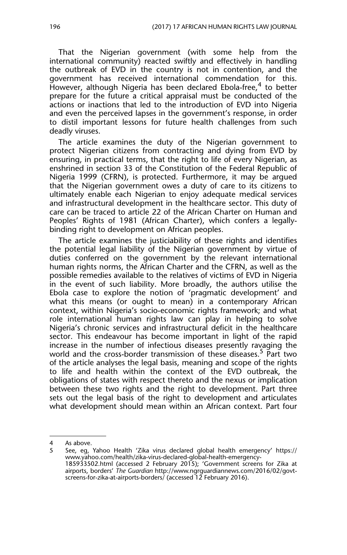That the Nigerian government (with some help from the international community) reacted swiftly and effectively in handling the outbreak of EVD in the country is not in contention, and the government has received international commendation for this. However, although Nigeria has been declared Ebola-free,<sup>4</sup> to better prepare for the future a critical appraisal must be conducted of the actions or inactions that led to the introduction of EVD into Nigeria and even the perceived lapses in the government's response, in order to distil important lessons for future health challenges from such deadly viruses.

The article examines the duty of the Nigerian government to protect Nigerian citizens from contracting and dying from EVD by ensuring, in practical terms, that the right to life of every Nigerian, as enshrined in section 33 of the Constitution of the Federal Republic of Nigeria 1999 (CFRN), is protected. Furthermore, it may be argued that the Nigerian government owes a duty of care to its citizens to ultimately enable each Nigerian to enjoy adequate medical services and infrastructural development in the healthcare sector. This duty of care can be traced to article 22 of the African Charter on Human and Peoples' Rights of 1981 (African Charter), which confers a legallybinding right to development on African peoples.

The article examines the justiciability of these rights and identifies the potential legal liability of the Nigerian government by virtue of duties conferred on the government by the relevant international human rights norms, the African Charter and the CFRN, as well as the possible remedies available to the relatives of victims of EVD in Nigeria in the event of such liability. More broadly, the authors utilise the Ebola case to explore the notion of 'pragmatic development' and what this means (or ought to mean) in a contemporary African context, within Nigeria's socio-economic rights framework; and what role international human rights law can play in helping to solve Nigeria's chronic services and infrastructural deficit in the healthcare sector. This endeavour has become important in light of the rapid increase in the number of infectious diseases presently ravaging the world and the cross-border transmission of these diseases.<sup>5</sup> Part two of the article analyses the legal basis, meaning and scope of the rights to life and health within the context of the EVD outbreak, the obligations of states with respect thereto and the nexus or implication between these two rights and the right to development. Part three sets out the legal basis of the right to development and articulates what development should mean within an African context. Part four

<sup>4</sup> As above.

<sup>5</sup> See, eg, Yahoo Health 'Zika virus declared global health emergency' https:// www.yahoo.com/health/zika-virus-declared-global-health-emergency-185933502.html (accessed 2 February 2015); 'Government screens for Zika at airports, borders' *The Guardian* http://www.ngrguardiannews.com/2016/02/govtscreens-for-zika-at-airports-borders/ (accessed 12 February 2016).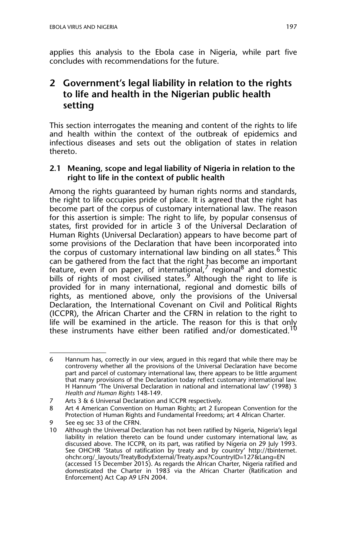applies this analysis to the Ebola case in Nigeria, while part five concludes with recommendations for the future.

## **2 Government's legal liability in relation to the rights to life and health in the Nigerian public health setting**

This section interrogates the meaning and content of the rights to life and health within the context of the outbreak of epidemics and infectious diseases and sets out the obligation of states in relation thereto.

#### **2.1 Meaning, scope and legal liability of Nigeria in relation to the right to life in the context of public health**

Among the rights guaranteed by human rights norms and standards, the right to life occupies pride of place. It is agreed that the right has become part of the corpus of customary international law. The reason for this assertion is simple: The right to life, by popular consensus of states, first provided for in article 3 of the Universal Declaration of Human Rights (Universal Declaration) appears to have become part of some provisions of the Declaration that have been incorporated into the corpus of customary international law binding on all states.<sup>6</sup> This can be gathered from the fact that the right has become an important feature, even if on paper, of international,<sup>7</sup> regional<sup>8</sup> and domestic bills of rights of most civilised states.<sup>9</sup> Although the right to life is provided for in many international, regional and domestic bills of rights, as mentioned above, only the provisions of the Universal Declaration, the International Covenant on Civil and Political Rights (ICCPR), the African Charter and the CFRN in relation to the right to life will be examined in the article. The reason for this is that only these instruments have either been ratified and/or domesticated.<sup>10</sup>

<sup>6</sup> Hannum has, correctly in our view, argued in this regard that while there may be controversy whether all the provisions of the Universal Declaration have become part and parcel of customary international law, there appears to be little argument that many provisions of the Declaration today reflect customary international law. H Hannum 'The Universal Declaration in national and international law' (1998) 3 *Health and Human Rights* 148-149.

<sup>7</sup> Arts 3 & 6 Universal Declaration and ICCPR respectively.

<sup>8</sup> Art 4 American Convention on Human Rights; art 2 European Convention for the Protection of Human Rights and Fundamental Freedoms; art 4 African Charter.

<sup>9</sup> See eg sec 33 of the CFRN.

<sup>10</sup> Although the Universal Declaration has not been ratified by Nigeria, Nigeria's legal liability in relation thereto can be found under customary international law, as discussed above. The ICCPR, on its part, was ratified by Nigeria on 29 July 1993. See OHCHR 'Status of ratification by treaty and by country' http://tbinternet. ohchr.org/\_layouts/TreatyBodyExternal/Treaty.aspx?CountryID=127&Lang=EN (accessed 15 December 2015). As regards the African Charter, Nigeria ratified and domesticated the Charter in 1983 via the African Charter (Ratification and Enforcement) Act Cap A9 LFN 2004.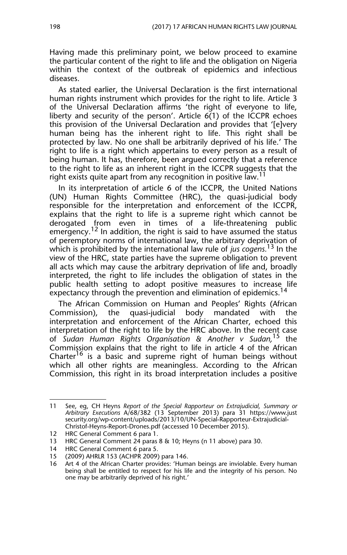Having made this preliminary point, we below proceed to examine the particular content of the right to life and the obligation on Nigeria within the context of the outbreak of epidemics and infectious diseases.

As stated earlier, the Universal Declaration is the first international human rights instrument which provides for the right to life. Article 3 of the Universal Declaration affirms 'the right of everyone to life, liberty and security of the person'. Article  $6(1)$  of the ICCPR echoes this provision of the Universal Declaration and provides that '[e]very human being has the inherent right to life. This right shall be protected by law. No one shall be arbitrarily deprived of his life.' The right to life is a right which appertains to every person as a result of being human. It has, therefore, been argued correctly that a reference to the right to life as an inherent right in the ICCPR suggests that the right exists quite apart from any recognition in positive law.<sup>11</sup>

In its interpretation of article 6 of the ICCPR, the United Nations (UN) Human Rights Committee (HRC), the quasi-judicial body responsible for the interpretation and enforcement of the ICCPR, explains that the right to life is a supreme right which cannot be derogated from even in times of a life-threatening public emergency.<sup>12</sup> In addition, the right is said to have assumed the status of peremptory norms of international law, the arbitrary deprivation of which is prohibited by the international law rule of *jus cogens.*13 In the view of the HRC, state parties have the supreme obligation to prevent all acts which may cause the arbitrary deprivation of life and, broadly interpreted, the right to life includes the obligation of states in the public health setting to adopt positive measures to increase life expectancy through the prevention and elimination of epidemics.<sup>14</sup>

The African Commission on Human and Peoples' Rights (African Commission), the quasi-judicial body mandated with the interpretation and enforcement of the African Charter, echoed this interpretation of the right to life by the HRC above. In the recent case of *Sudan Human Rights Organisation & Another v Sudan,*<sup>15</sup> the Commission explains that the right to life in article 4 of the African Charter<sup>16</sup> is a basic and supreme right of human beings without which all other rights are meaningless. According to the African Commission, this right in its broad interpretation includes a positive

<sup>11</sup> See, eg, CH Heyns *Report of the Special Rapporteur on Extrajudicial, Summary or Arbitrary Executions* A/68/382 (13 September 2013) para 31 https://www.just security.org/wp-content/uploads/2013/10/UN-Special-Rapporteur-Extrajudicial-Christof-Heyns-Report-Drones.pdf (accessed 10 December 2015).

<sup>12</sup> HRC General Comment 6 para 1.

<sup>13</sup> HRC General Comment 24 paras 8 & 10; Heyns (n 11 above) para 30.

<sup>14</sup> HRC General Comment 6 para 5.<br>15 (2009) AHRLR 153 (ACHPR 2009)

<sup>15 (2009)</sup> AHRLR 153 (ACHPR 2009) para 146.

<sup>16</sup> Art 4 of the African Charter provides: 'Human beings are inviolable. Every human being shall be entitled to respect for his life and the integrity of his person. No one may be arbitrarily deprived of his right.'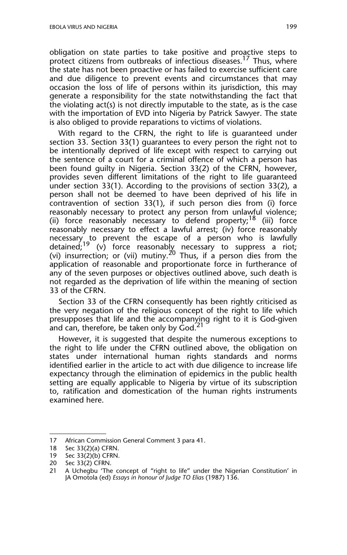obligation on state parties to take positive and proactive steps to protect citizens from outbreaks of infectious diseases.<sup>17</sup> Thus, where the state has not been proactive or has failed to exercise sufficient care and due diligence to prevent events and circumstances that may occasion the loss of life of persons within its jurisdiction, this may generate a responsibility for the state notwithstanding the fact that the violating act(s) is not directly imputable to the state, as is the case with the importation of EVD into Nigeria by Patrick Sawyer. The state is also obliged to provide reparations to victims of violations.

With regard to the CFRN, the right to life is guaranteed under section 33. Section 33(1) guarantees to every person the right not to be intentionally deprived of life except with respect to carrying out the sentence of a court for a criminal offence of which a person has been found guilty in Nigeria. Section 33(2) of the CFRN, however, provides seven different limitations of the right to life guaranteed under section 33(1). According to the provisions of section 33(2), a person shall not be deemed to have been deprived of his life in contravention of section 33(1), if such person dies from (i) force reasonably necessary to protect any person from unlawful violence; (ii) force reasonably necessary to defend property;<sup>18</sup> (iii) force reasonably necessary to effect a lawful arrest; (iv) force reasonably necessary to prevent the escape of a person who is lawfully detained;<sup>19</sup> (v) force reasonably necessary to suppress a riot; (vi) insurrection; or (vii) mutiny.<sup>20</sup> Thus, if a person dies from the application of reasonable and proportionate force in furtherance of any of the seven purposes or objectives outlined above, such death is not regarded as the deprivation of life within the meaning of section 33 of the CFRN.

Section 33 of the CFRN consequently has been rightly criticised as the very negation of the religious concept of the right to life which presupposes that life and the accompanying right to it is God-given and can, therefore, be taken only by  $God.^{21}$ 

However, it is suggested that despite the numerous exceptions to the right to life under the CFRN outlined above, the obligation on states under international human rights standards and norms identified earlier in the article to act with due diligence to increase life expectancy through the elimination of epidemics in the public health setting are equally applicable to Nigeria by virtue of its subscription to, ratification and domestication of the human rights instruments examined here.

<sup>17</sup> African Commission General Comment 3 para 41.<br>18 Sec 33(2)(a) CFRN.

Sec 33(2)(a) CFRN.

<sup>19</sup> Sec 33(2)(b) CFRN.

<sup>20</sup> Sec 33(2) CFRN.<br>21 A Ucheghu 'The

A Uchegbu 'The concept of "right to life" under the Nigerian Constitution' in JA Omotola (ed) *Essays in honour of Judge TO Elias* (1987) 136.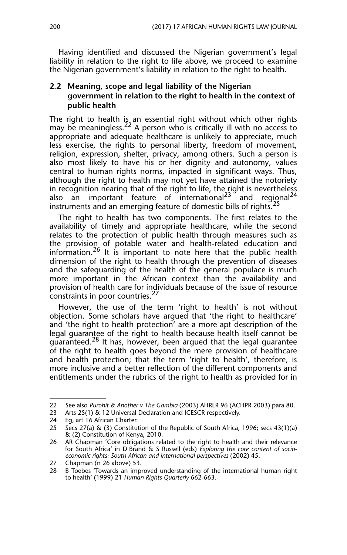Having identified and discussed the Nigerian government's legal liability in relation to the right to life above, we proceed to examine the Nigerian government's liability in relation to the right to health.

#### **2.2 Meaning, scope and legal liability of the Nigerian government in relation to the right to health in the context of public health**

The right to health is an essential right without which other rights may be meaningless.<sup>22</sup> A person who is critically ill with no access to appropriate and adequate healthcare is unlikely to appreciate, much less exercise, the rights to personal liberty, freedom of movement, religion, expression, shelter, privacy, among others. Such a person is also most likely to have his or her dignity and autonomy, values central to human rights norms, impacted in significant ways. Thus, although the right to health may not yet have attained the notoriety in recognition nearing that of the right to life, the right is nevertheless also an important feature of international<sup>23</sup> and regional<sup>24</sup> instruments and an emerging feature of domestic bills of rights.<sup>25</sup>

The right to health has two components. The first relates to the availability of timely and appropriate healthcare, while the second relates to the protection of public health through measures such as the provision of potable water and health-related education and information.<sup>26</sup> It is important to note here that the public health dimension of the right to health through the prevention of diseases and the safeguarding of the health of the general populace is much more important in the African context than the availability and provision of health care for individuals because of the issue of resource constraints in poor countries.<sup>27</sup>

However, the use of the term 'right to health' is not without objection. Some scholars have argued that 'the right to healthcare' and 'the right to health protection' are a more apt description of the legal guarantee of the right to health because health itself cannot be quaranteed.<sup>28</sup> It has, however, been argued that the legal guarantee of the right to health goes beyond the mere provision of healthcare and health protection; that the term 'right to health', therefore, is more inclusive and a better reflection of the different components and entitlements under the rubrics of the right to health as provided for in

<sup>22</sup> See also *Purohit & Another v The Gambia* (2003) AHRLR 96 (ACHPR 2003) para 80.

<sup>23</sup> Arts 25(1) & 12 Universal Declaration and ICESCR respectively.

<sup>24</sup> Eg, art 16 African Charter.<br>25 Secs 27(a) & (3) Constitut

Secs 27(a) & (3) Constitution of the Republic of South Africa, 1996; secs 43(1)(a) & (2) Constitution of Kenya, 2010.

<sup>26</sup> AR Chapman 'Core obligations related to the right to health and their relevance for South Africa' in D Brand & S Russell (eds) *Exploring the core content of socioeconomic rights: South African and international perspectives* (2002) 45.

<sup>27</sup> Chapman (n 26 above) 53.<br>28 - B. Toebes 'Towards an impr

<sup>28</sup> B Toebes 'Towards an improved understanding of the international human right to health' (1999) 21 *Human Rights Quarterly* 662-663.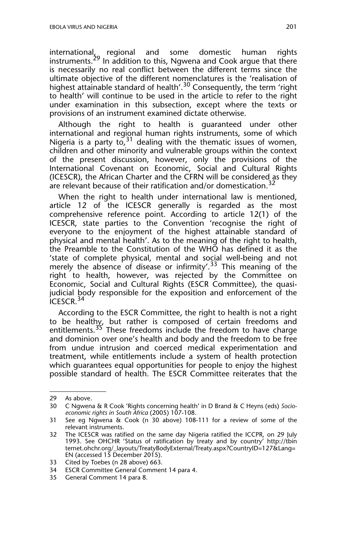international, regional and some domestic human rights instruments.<sup>29</sup> In addition to this, Ngwena and Cook argue that there is necessarily no real conflict between the different terms since the ultimate objective of the different nomenclatures is the 'realisation of highest attainable standard of health'.<sup>30</sup> Consequently, the term 'right to health' will continue to be used in the article to refer to the right under examination in this subsection, except where the texts or provisions of an instrument examined dictate otherwise.

Although the right to health is guaranteed under other international and regional human rights instruments, some of which Nigeria is a party to,  $31$  dealing with the thematic issues of women, children and other minority and vulnerable groups within the context of the present discussion, however, only the provisions of the International Covenant on Economic, Social and Cultural Rights (ICESCR), the African Charter and the CFRN will be considered as they are relevant because of their ratification and/or domestication.<sup>32</sup>

When the right to health under international law is mentioned, article 12 of the ICESCR generally is regarded as the most comprehensive reference point. According to article 12(1) of the ICESCR, state parties to the Convention 'recognise the right of everyone to the enjoyment of the highest attainable standard of physical and mental health'. As to the meaning of the right to health, the Preamble to the Constitution of the WHO has defined it as the 'state of complete physical, mental and social well-being and not merely the absence of disease or infirmity'.<sup>33</sup> This meaning of the right to health, however, was rejected by the Committee on Economic, Social and Cultural Rights (ESCR Committee), the quasijudicial body responsible for the exposition and enforcement of the  $ICESCR.<sup>34</sup>$ 

According to the ESCR Committee, the right to health is not a right to be healthy, but rather is composed of certain freedoms and entitlements.<sup>35</sup> These freedoms include the freedom to have charge and dominion over one's health and body and the freedom to be free from undue intrusion and coerced medical experimentation and treatment, while entitlements include a system of health protection which guarantees equal opportunities for people to enjoy the highest possible standard of health. The ESCR Committee reiterates that the

<sup>29</sup> As above.

<sup>30</sup> C Ngwena & R Cook 'Rights concerning health' in D Brand & C Heyns (eds) *Socioeconomic rights in South Africa* (2005) 107-108.

<sup>31</sup> See eg Ngwena & Cook (n 30 above) 108-111 for a review of some of the relevant instruments.

<sup>32</sup> The ICESCR was ratified on the same day Nigeria ratified the ICCPR, on 29 July 1993. See OHCHR 'Status of ratification by treaty and by country' http://tbin ternet.ohchr.org/\_layouts/TreatyBodyExternal/Treaty.aspx?CountryID=127&Lang= EN (accessed 15 December 2015).

<sup>33</sup> Cited by Toebes (n 28 above) 663.

<sup>34</sup> ESCR Committee General Comment 14 para 4.

<sup>35</sup> General Comment 14 para 8.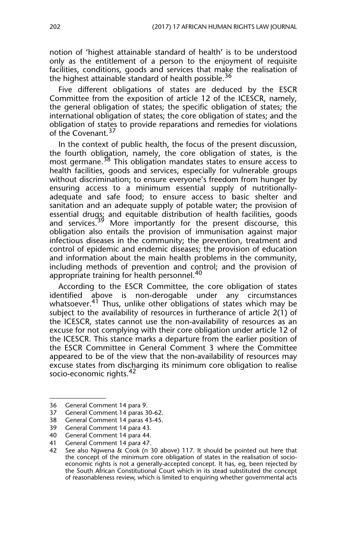notion of 'highest attainable standard of health' is to be understood only as the entitlement of a person to the enjoyment of requisite facilities, conditions, goods and services that make the realisation of the highest attainable standard of health possible.<sup>36</sup>

Five different obligations of states are deduced by the ESCR Committee from the exposition of article 12 of the ICESCR, namely, the general obligation of states; the specific obligation of states; the international obligation of states; the core obligation of states; and the obligation of states to provide reparations and remedies for violations of the Covenant.<sup>37</sup>

In the context of public health, the focus of the present discussion, the fourth obligation, namely, the core obligation of states, is the most germane.<sup>38</sup> This obligation mandates states to ensure access to health facilities, goods and services, especially for vulnerable groups without discrimination; to ensure everyone's freedom from hunger by ensuring access to a minimum essential supply of nutritionallyadequate and safe food; to ensure access to basic shelter and sanitation and an adequate supply of potable water; the provision of essential drugs; and equitable distribution of health facilities, goods and services.<sup>39</sup> More importantly for the present discourse, this obligation also entails the provision of immunisation against major infectious diseases in the community; the prevention, treatment and control of epidemic and endemic diseases; the provision of education and information about the main health problems in the community, including methods of prevention and control; and the provision of appropriate training for health personnel.<sup>40</sup>

According to the ESCR Committee, the core obligation of states identified above is non-derogable under any circumstances whatsoever.<sup>41</sup> Thus, unlike other obligations of states which may be subject to the availability of resources in furtherance of article 2(1) of the ICESCR, states cannot use the non-availability of resources as an excuse for not complying with their core obligation under article 12 of the ICESCR. This stance marks a departure from the earlier position of the ESCR Committee in General Comment 3 where the Committee appeared to be of the view that the non-availability of resources may excuse states from discharging its minimum core obligation to realise socio-economic rights.<sup>42</sup>

<sup>36</sup> General Comment 14 para 9.

<sup>37</sup> General Comment 14 paras 30-62.

<sup>38</sup> General Comment 14 paras 43-45.

<sup>39</sup> General Comment 14 para 43.

<sup>40</sup> General Comment 14 para 44.

<sup>41</sup> General Comment 14 para 47.<br>42 See also Ngwena & Cook (n 3

See also Ngwena & Cook (n 30 above) 117. It should be pointed out here that the concept of the minimum core obligation of states in the realisation of socioeconomic rights is not a generally-accepted concept. It has, eg, been rejected by the South African Constitutional Court which in its stead substituted the concept of reasonableness review, which is limited to enquiring whether governmental acts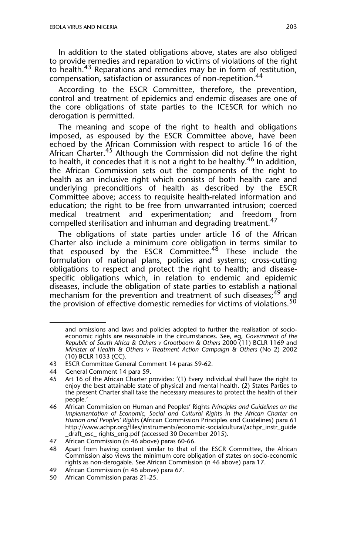In addition to the stated obligations above, states are also obliged to provide remedies and reparation to victims of violations of the right to health.43 Reparations and remedies may be in form of restitution, compensation, satisfaction or assurances of non-repetition.<sup>44</sup>

According to the ESCR Committee, therefore, the prevention, control and treatment of epidemics and endemic diseases are one of the core obligations of state parties to the ICESCR for which no derogation is permitted.

The meaning and scope of the right to health and obligations imposed, as espoused by the ESCR Committee above, have been echoed by the African Commission with respect to article 16 of the African Charter.<sup>45</sup> Although the Commission did not define the right to health, it concedes that it is not a right to be healthy.<sup>46</sup> In addition, the African Commission sets out the components of the right to health as an inclusive right which consists of both health care and underlying preconditions of health as described by the ESCR Committee above; access to requisite health-related information and education; the right to be free from unwarranted intrusion; coerced medical treatment and experimentation; and freedom from compelled sterilisation and inhuman and degrading treatment.<sup>47</sup>

The obligations of state parties under article 16 of the African Charter also include a minimum core obligation in terms similar to that espoused by the ESCR Committee.48 These include the formulation of national plans, policies and systems; cross-cutting obligations to respect and protect the right to health; and diseasespecific obligations which, in relation to endemic and epidemic diseases, include the obligation of state parties to establish a national mechanism for the prevention and treatment of such diseases;<sup>49</sup> and the provision of effective domestic remedies for victims of violations.<sup>50</sup>

and omissions and laws and policies adopted to further the realisation of socioeconomic rights are reasonable in the circumstances. See, eg, *Government of the Republic of South Africa & Others v Grootboom & Others* 2000 (11) BCLR 1169 and *Minister of Health & Others v Treatment Action Campaign & Others* (No 2) 2002 (10) BCLR 1033 (CC).

<sup>43</sup> ESCR Committee General Comment 14 paras 59-62.

<sup>44</sup> General Comment 14 para 59.

<sup>45</sup> Art 16 of the African Charter provides: '(1) Every individual shall have the right to enjoy the best attainable state of physical and mental health. (2) States Parties to the present Charter shall take the necessary measures to protect the health of their people.'

<sup>46</sup> African Commission on Human and Peoples' Rights *Principles and Guidelines on the Implementation of Economic, Social and Cultural Rights in the African Charter on Human and Peoples' Rights* (African Commission Principles and Guidelines) para 61 http://www.achpr.org/files/instruments/economic-socialcultural/achpr\_instr\_guide \_draft\_esc\_ rights\_eng.pdf (accessed 30 December 2015).

<sup>47</sup> African Commission (n 46 above) paras 60-66.

<sup>48</sup> Apart from having content similar to that of the ESCR Committee, the African Commission also views the minimum core obligation of states on socio-economic rights as non-derogable. See African Commission (n 46 above) para 17.

<sup>49</sup> African Commission (n 46 above) para 67.

<sup>50</sup> African Commission paras 21-25.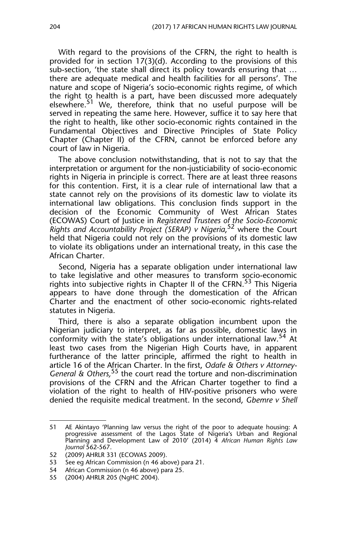With regard to the provisions of the CFRN, the right to health is provided for in section 17(3)(d). According to the provisions of this sub-section, 'the state shall direct its policy towards ensuring that … there are adequate medical and health facilities for all persons'. The nature and scope of Nigeria's socio-economic rights regime, of which the right to health is a part, have been discussed more adequately elsewhere.<sup>51</sup> We, therefore, think that no useful purpose will be served in repeating the same here. However, suffice it to say here that the right to health, like other socio-economic rights contained in the Fundamental Objectives and Directive Principles of State Policy Chapter (Chapter II) of the CFRN, cannot be enforced before any court of law in Nigeria.

The above conclusion notwithstanding, that is not to say that the interpretation or argument for the non-justiciability of socio-economic rights in Nigeria in principle is correct. There are at least three reasons for this contention. First, it is a clear rule of international law that a state cannot rely on the provisions of its domestic law to violate its international law obligations. This conclusion finds support in the decision of the Economic Community of West African States (ECOWAS) Court of Justice in *Registered Trustees of the Socio-Economic Rights and Accountability Project (SERAP) v Nigeria*, 52 where the Court held that Nigeria could not rely on the provisions of its domestic law to violate its obligations under an international treaty, in this case the African Charter.

Second, Nigeria has a separate obligation under international law to take legislative and other measures to transform socio-economic rights into subjective rights in Chapter II of the CFRN.<sup>53</sup> This Nigeria appears to have done through the domestication of the African Charter and the enactment of other socio-economic rights-related statutes in Nigeria.

Third, there is also a separate obligation incumbent upon the Nigerian judiciary to interpret, as far as possible, domestic laws in conformity with the state's obligations under international law.<sup>54</sup> At least two cases from the Nigerian High Courts have, in apparent furtherance of the latter principle, affirmed the right to health in article 16 of the African Charter. In the first, *Odafe & Others v Attorney-General & Others,*55 the court read the torture and non-discrimination provisions of the CFRN and the African Charter together to find a violation of the right to health of HIV-positive prisoners who were denied the requisite medical treatment. In the second, *Gbemre v Shell*

53 See eg African Commission (n 46 above) para 21.<br>54 African Commission (n 46 above) para 25.

<sup>51</sup> AE Akintayo 'Planning law versus the right of the poor to adequate housing: A progressive assessment of the Lagos State of Nigeria's Urban and Regional Planning and Development Law of 2010' (2014) 4 *African Human Rights Law Journal* 562-567.

<sup>52 (2009)</sup> AHRLR 331 (ECOWAS 2009).

African Commission (n 46 above) para 25.

<sup>55 (2004)</sup> AHRLR 205 (NgHC 2004).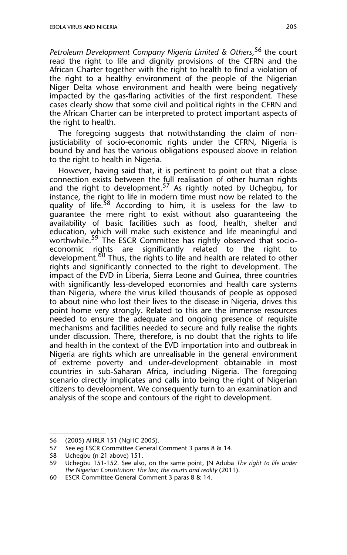*Petroleum Development Company Nigeria Limited & Others*, 56 the court read the right to life and dignity provisions of the CFRN and the African Charter together with the right to health to find a violation of the right to a healthy environment of the people of the Nigerian Niger Delta whose environment and health were being negatively impacted by the gas-flaring activities of the first respondent. These cases clearly show that some civil and political rights in the CFRN and the African Charter can be interpreted to protect important aspects of the right to health.

The foregoing suggests that notwithstanding the claim of nonjusticiability of socio-economic rights under the CFRN, Nigeria is bound by and has the various obligations espoused above in relation to the right to health in Nigeria.

However, having said that, it is pertinent to point out that a close connection exists between the full realisation of other human rights and the right to development.<sup>57</sup> As rightly noted by Uchegbu, for instance, the right to life in modern time must now be related to the quality of life.<sup>38</sup> According to him, it is useless for the law to guarantee the mere right to exist without also guaranteeing the availability of basic facilities such as food, health, shelter and education, which will make such existence and life meaningful and worthwhile.<sup>59</sup> The ESCR Committee has rightly observed that socioeconomic rights are significantly related to the right to development.<sup>60</sup> Thus, the rights to life and health are related to other rights and significantly connected to the right to development. The impact of the EVD in Liberia, Sierra Leone and Guinea, three countries with significantly less-developed economies and health care systems than Nigeria, where the virus killed thousands of people as opposed to about nine who lost their lives to the disease in Nigeria, drives this point home very strongly. Related to this are the immense resources needed to ensure the adequate and ongoing presence of requisite mechanisms and facilities needed to secure and fully realise the rights under discussion. There, therefore, is no doubt that the rights to life and health in the context of the EVD importation into and outbreak in Nigeria are rights which are unrealisable in the general environment of extreme poverty and under-development obtainable in most countries in sub-Saharan Africa, including Nigeria. The foregoing scenario directly implicates and calls into being the right of Nigerian citizens to development. We consequently turn to an examination and analysis of the scope and contours of the right to development.

<sup>56 (2005)</sup> AHRLR 151 (NgHC 2005).<br>57 See eg ESCR Committee General (

See eg ESCR Committee General Comment 3 paras 8 & 14.

<sup>58</sup> Uchegbu (n 21 above) 151.

<sup>59</sup> Uchegbu 151-152. See also, on the same point, JN Aduba *The right to life under the Nigerian Constitution: The law, the courts and reality* (2011).

<sup>60</sup> ESCR Committee General Comment 3 paras 8 & 14.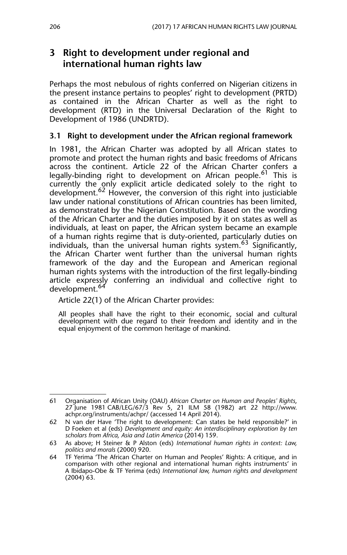## **3 Right to development under regional and international human rights law**

Perhaps the most nebulous of rights conferred on Nigerian citizens in the present instance pertains to peoples' right to development (PRTD) as contained in the African Charter as well as the right to development (RTD) in the Universal Declaration of the Right to Development of 1986 (UNDRTD).

#### **3.1 Right to development under the African regional framework**

In 1981, the African Charter was adopted by all African states to promote and protect the human rights and basic freedoms of Africans across the continent. Article 22 of the African Charter confers a legally-binding right to development on African people.<sup>61</sup> This is currently the only explicit article dedicated solely to the right to development.<sup>62</sup> However, the conversion of this right into justiciable law under national constitutions of African countries has been limited, as demonstrated by the Nigerian Constitution. Based on the wording of the African Charter and the duties imposed by it on states as well as individuals, at least on paper, the African system became an example of a human rights regime that is duty-oriented, particularly duties on individuals, than the universal human rights system.<sup>63</sup> Significantly, the African Charter went further than the universal human rights framework of the day and the European and American regional human rights systems with the introduction of the first legally-binding article expressly conferring an individual and collective right to development.<sup>64</sup>

Article 22(1) of the African Charter provides:

All peoples shall have the right to their economic, social and cultural development with due regard to their freedom and identity and in the equal enjoyment of the common heritage of mankind.

<sup>61</sup> Organisation of African Unity (OAU) *African Charter on Human and Peoples' Rights*, 27 June 1981 CAB/LEG/67/3 Rev 5, 21 ILM 58 (1982) art 22 http://www. achpr.org/instruments/achpr/ (accessed 14 April 2014).

<sup>62</sup> N van der Have 'The right to development: Can states be held responsible?' in D Foeken et al (eds) *Development and equity: An interdisciplinary exploration by ten scholars from Africa, Asia and Latin America* (2014) 159.

<sup>63</sup> As above; H Steiner & P Alston (eds) *International human rights in context: Law, politics and morals* (2000) 920.

<sup>64</sup> TF Yerima 'The African Charter on Human and Peoples' Rights: A critique, and in comparison with other regional and international human rights instruments' in A Ibidapo-Obe & TF Yerima (eds) *International law, human rights and development* (2004) 63.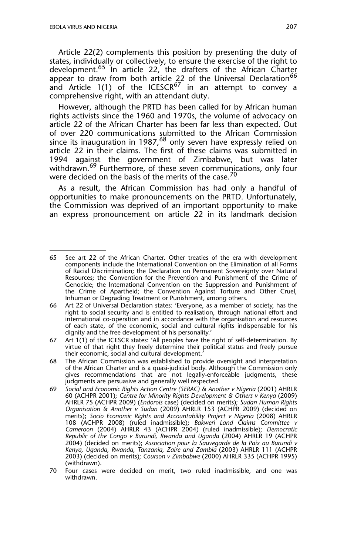Article 22(2) complements this position by presenting the duty of states, individually or collectively, to ensure the exercise of the right to development.<sup>65</sup> In article 22, the drafters of the African Charter appear to draw from both article 22 of the Universal Declaration<sup>66</sup> and Article 1(1) of the ICESCR<sup>67</sup> in an attempt to convey a comprehensive right, with an attendant duty.

However, although the PRTD has been called for by African human rights activists since the 1960 and 1970s, the volume of advocacy on article 22 of the African Charter has been far less than expected. Out of over 220 communications submitted to the African Commission since its inauguration in 1987,  $68$  only seven have expressly relied on article 22 in their claims. The first of these claims was submitted in 1994 against the government of Zimbabwe, but was later withdrawn.<sup>69</sup> Furthermore, of these seven communications, only four were decided on the basis of the merits of the case.<sup>70</sup>

As a result, the African Commission has had only a handful of opportunities to make pronouncements on the PRTD. Unfortunately, the Commission was deprived of an important opportunity to make an express pronouncement on article 22 in its landmark decision

<sup>65</sup> See art 22 of the African Charter. Other treaties of the era with development components include the International Convention on the Elimination of all Forms of Racial Discrimination; the Declaration on Permanent Sovereignty over Natural Resources; the Convention for the Prevention and Punishment of the Crime of Genocide; the International Convention on the Suppression and Punishment of the Crime of Apartheid; the Convention Against Torture and Other Cruel, Inhuman or Degrading Treatment or Punishment, among others.

<sup>66</sup> Art 22 of Universal Declaration states: 'Everyone, as a member of society, has the right to social security and is entitled to realisation, through national effort and international co-operation and in accordance with the organisation and resources of each state, of the economic, social and cultural rights indispensable for his dignity and the free development of his personality.'

<sup>67</sup> Art 1(1) of the ICESCR states: 'All peoples have the right of self-determination. By virtue of that right they freely determine their political status and freely pursue their economic, social and cultural development.'

<sup>68</sup> The African Commission was established to provide oversight and interpretation of the African Charter and is a quasi-judicial body. Although the Commission only gives recommendations that are not legally-enforceable judgments, these judgments are persuasive and generally well respected.

<sup>69</sup> *Social and Economic Rights Action Centre (SERAC) & Another v Nigeria* (2001) AHRLR 60 (ACHPR 2001); *Centre for Minority Rights Development & Others v Kenya* (2009) AHRLR 75 (ACHPR 2009) (*Endorois* case) (decided on merits); *Sudan Human Rights Organisation & Another v Sudan* (2009) AHRLR 153 (ACHPR 2009) (decided on merits)**;** *Socio Economic Rights and Accountability Project v Nigeria* (2008) AHRLR 108 (ACHPR 2008) (ruled inadmissible)**;** *Bakweri Land Claims Committee v Cameroon* (2004) AHRLR 43 (ACHPR 2004) (ruled inadmissible); *Democratic Republic of the Congo v Burundi, Rwanda and Uganda* (2004) AHRLR 19 (ACHPR 2004) (decided on merits)**;** *Association pour la Sauvegarde de la Paix au Burundi v Kenya, Uganda, Rwanda, Tanzania, Zaire and Zambia* (2003) AHRLR 111 (ACHPR 2003) (decided on merits); *Courson v Zimbabwe* (2000) AHRLR 335 (ACHPR 1995) (withdrawn).

<sup>70</sup> Four cases were decided on merit, two ruled inadmissible, and one was withdrawn.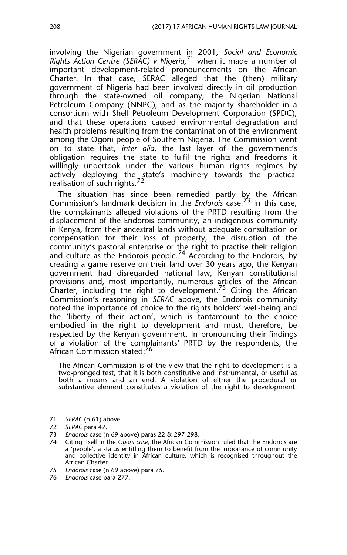involving the Nigerian government in 2001, *Social and Economic Rights Action Centre (SERAC) v Nigeria,*<sup>71</sup> when it made a number of important development-related pronouncements on the African Charter. In that case, SERAC alleged that the (then) military government of Nigeria had been involved directly in oil production through the state-owned oil company, the Nigerian National Petroleum Company (NNPC), and as the majority shareholder in a consortium with Shell Petroleum Development Corporation (SPDC), and that these operations caused environmental degradation and health problems resulting from the contamination of the environment among the Ogoni people of Southern Nigeria. The Commission went on to state that, *inter alia*, the last layer of the government's obligation requires the state to fulfil the rights and freedoms it willingly undertook under the various human rights regimes by actively deploying the state's machinery towards the practical realisation of such rights.<sup>72</sup>

The situation has since been remedied partly by the African Commission's landmark decision in the *Endorois* case*.* <sup>73</sup> In this case, the complainants alleged violations of the PRTD resulting from the displacement of the Endorois community, an indigenous community in Kenya, from their ancestral lands without adequate consultation or compensation for their loss of property, the disruption of the community's pastoral enterprise or the right to practise their religion and culture as the Endorois people.<sup>74</sup> According to the Endorois, by creating a game reserve on their land over 30 years ago, the Kenyan government had disregarded national law, Kenyan constitutional provisions and, most importantly, numerous articles of the African Charter, including the right to development.<sup>75</sup> Citing the African Commission's reasoning in *SERAC* above, the Endorois community noted the importance of choice to the rights holders' well-being and the 'liberty of their action', which is tantamount to the choice embodied in the right to development and must, therefore, be respected by the Kenyan government. In pronouncing their findings of a violation of the complainants' PRTD by the respondents, the African Commission stated:<sup>76</sup>

The African Commission is of the view that the right to development is a two-pronged test, that it is both constitutive and instrumental, or useful as both a means and an end. A violation of either the procedural or substantive element constitutes a violation of the right to development.

<sup>71</sup> *SERAC* (n 61) above.

<sup>72</sup> *SERAC* para 47.

<sup>73</sup> *Endorois* case (n 69 above) paras 22 & 297-298.

<sup>74</sup> Citing itself in the *Ogoni case*, the African Commission ruled that the Endorois are a **'**people', a status entitling them to benefit from the importance of community and collective identity in African culture, which is recognised throughout the African Charter.

<sup>75</sup> *Endorois* case (n 69 above) para 75.

<sup>76</sup> *Endorois* case para 277.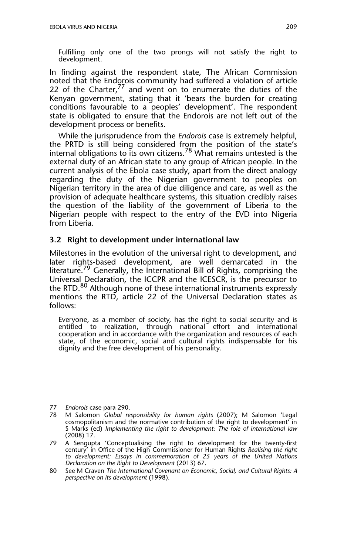Fulfilling only one of the two prongs will not satisfy the right to development.

In finding against the respondent state, The African Commission noted that the Endorois community had suffered a violation of article 22 of the Charter,  $77$  and went on to enumerate the duties of the Kenyan government, stating that it 'bears the burden for creating conditions favourable to a peoples' development'. The respondent state is obligated to ensure that the Endorois are not left out of the development process or benefits.

While the jurisprudence from the *Endorois* case is extremely helpful, the PRTD is still being considered from the position of the state's internal obligations to its own citizens.<sup>78</sup> What remains untested is the external duty of an African state to any group of African people. In the current analysis of the Ebola case study, apart from the direct analogy regarding the duty of the Nigerian government to peoples on Nigerian territory in the area of due diligence and care, as well as the provision of adequate healthcare systems, this situation credibly raises the question of the liability of the government of Liberia to the Nigerian people with respect to the entry of the EVD into Nigeria from Liberia.

#### **3.2 Right to development under international law**

Milestones in the evolution of the universal right to development, and later rights-based development, are well demarcated in the literature.<sup>79</sup> Generally, the International Bill of Rights, comprising the Universal Declaration, the ICCPR and the ICESCR, is the precursor to the RTD.<sup>80</sup> Although none of these international instruments expressly mentions the RTD, article 22 of the Universal Declaration states as follows:

Everyone, as a member of society, has the right to social security and is entitled to realization, through national effort and international cooperation and in accordance with the organization and resources of each state, of the economic, social and cultural rights indispensable for his dignity and the free development of his personality.

<sup>77</sup> *Endorois* case para 290.

<sup>78</sup> M Salomon *Global responsibility for human rights* (2007); M Salomon 'Legal cosmopolitanism and the normative contribution of the right to development' in S Marks (ed) *Implementing the right to development: The role of international law* (2008) 17.

<sup>79</sup> A Sengupta 'Conceptualising the right to development for the twenty-first century' in Office of the High Commissioner for Human Rights *Realising the right to development: Essays in commemoration of 25 years of the United Nations Declaration on the Right to Development* (2013) 67.

<sup>80</sup> See M Craven *The International Covenant on Economic, Social, and Cultural Rights: A perspective on its development* (1998).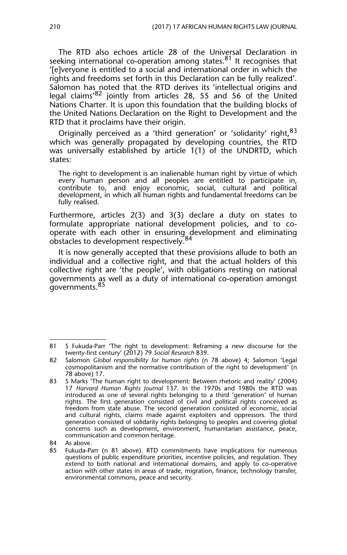The RTD also echoes article 28 of the Universal Declaration in seeking international co-operation among states.<sup>81</sup> It recognises that '[e]veryone is entitled to a social and international order in which the rights and freedoms set forth in this Declaration can be fully realized'. Salomon has noted that the RTD derives its 'intellectual origins and legal claims'<sup>82</sup> jointly from articles 28, 55 and 56 of the United Nations Charter. It is upon this foundation that the building blocks of the United Nations Declaration on the Right to Development and the RTD that it proclaims have their origin.

Originally perceived as a 'third generation' or 'solidarity' right, <sup>83</sup> which was generally propagated by developing countries, the RTD was universally established by article 1(1) of the UNDRTD, which states:

The right to development is an inalienable human right by virtue of which every human person and all peoples are entitled to participate in, contribute to, and enjoy economic, social, cultural and political development, in which all human rights and fundamental freedoms can be fully realised.

Furthermore, articles 2(3) and 3(3) declare a duty on states to formulate appropriate national development policies, and to cooperate with each other in ensuring development and eliminating obstacles to development respectively.

It is now generally accepted that these provisions allude to both an individual and a collective right, and that the actual holders of this collective right are 'the people', with obligations resting on national governments as well as a duty of international co-operation amongst governments.<sup>85</sup>

<sup>81</sup> S Fukuda-Parr 'The right to development: Reframing a new discourse for the twenty-first century' (2012) 79 *Social Research* 839.

<sup>82</sup> Salomon *Global responsibility for human rights* (n 78 above) 4; Salomon 'Legal cosmopolitanism and the normative contribution of the right to development' (n 78 above) 17.

<sup>83</sup> S Marks 'The human right to development: Between rhetoric and reality' (2004) 17 *Harvard Human Rights Journal* 137. In the 1970s and 1980s the RTD was introduced as one of several rights belonging to a third 'generation' of human rights. The first generation consisted of civil and political rights conceived as freedom from state abuse. The second generation consisted of economic, social and cultural rights, claims made against exploiters and oppressors. The third generation consisted of solidarity rights belonging to peoples and covering global concerns such as development, environment, humanitarian assistance, peace, communication and common heritage.

<sup>84</sup> As above.<br>85 Eukuda-Pa

<sup>85</sup> Fukuda-Parr (n 81 above). RTD commitments have implications for numerous questions of public expenditure priorities, incentive policies, and regulation. They extend to both national and international domains, and apply to co-operative action with other states in areas of trade, migration, finance, technology transfer, environmental commons, peace and security.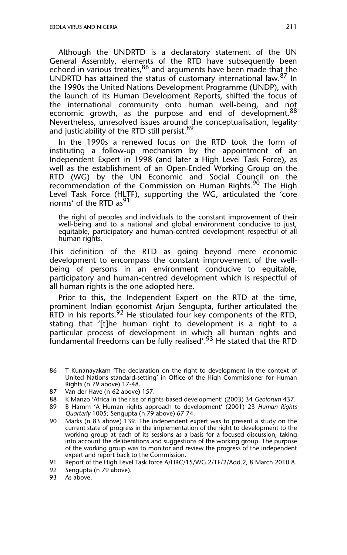Although the UNDRTD is a declaratory statement of the UN General Assembly, elements of the RTD have subsequently been echoed in various treaties,  $86$  and arguments have been made that the UNDRTD has attained the status of customary international law.<sup>87</sup> In the 1990s the United Nations Development Programme (UNDP), with the launch of its Human Development Reports, shifted the focus of the international community onto human well-being, and not economic growth, as the purpose and end of development.<sup>88</sup> Nevertheless, unresolved issues around the conceptualisation, legality and justiciability of the RTD still persist.<sup>89</sup>

In the 1990s a renewed focus on the RTD took the form of instituting a follow-up mechanism by the appointment of an Independent Expert in 1998 (and later a High Level Task Force), as well as the establishment of an Open-Ended Working Group on the RTD (WG) by the UN Economic and Social Council on the recommendation of the Commission on Human Rights.<sup>90</sup> The High Level Task Force (HLTF), supporting the WG, articulated the 'core norms' of the RTD as<sup>91</sup>

the right of peoples and individuals to the constant improvement of their well-being and to a national and global environment conducive to just, equitable, participatory and human-centred development respectful of all human rights.

This definition of the RTD as going beyond mere economic development to encompass the constant improvement of the wellbeing of persons in an environment conducive to equitable, participatory and human-centred development which is respectful of all human rights is the one adopted here.

Prior to this, the Independent Expert on the RTD at the time, prominent Indian economist Arjun Sengupta, further articulated the RTD in his reports.<sup>92</sup> He stipulated four key components of the RTD, stating that '[t]he human right to development is a right to a particular process of development in which all human rights and fundamental freedoms can be fully realised'.<sup>93</sup> He stated that the RTD

<sup>86</sup> T Kunanayakam 'The declaration on the right to development in the context of United Nations standard-setting' in Office of the High Commissioner for Human Rights (n 79 above) 17-48.

<sup>87</sup> Van der Have (n 62 above) 157.

<sup>88</sup> K Manzo 'Africa in the rise of rights-based development' (2003) 34 *Geoforum* 437.

<sup>89</sup> B Hamm 'A Human rights approach to development' (2001) 23 *Human Rights Quarterly* 1005; Sengupta (n 79 above) 67 74.

<sup>90</sup> Marks (n 83 above) 139. The independent expert was to present a study on the current state of progress in the implementation of the right to development to the working group at each of its sessions as a basis for a focused discussion, taking into account the deliberations and suggestions of the working group. The purpose of the working group was to monitor and review the progress of the independent expert and report back to the Commission.

<sup>91</sup> Report of the High Level Task force A/HRC/15/WG.2/TF/2/Add.2, 8 March 2010 8.

<sup>92</sup> Sengupta (n 79 above).

<sup>93</sup> As above.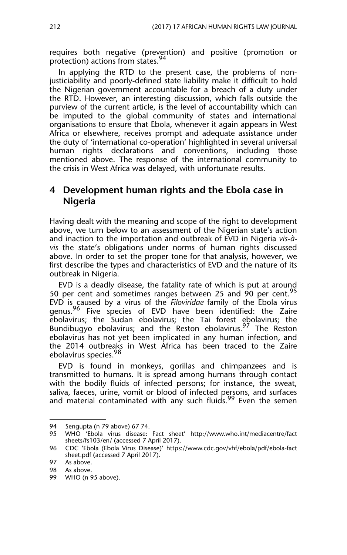requires both negative (prevention) and positive (promotion or protection) actions from states.<sup>94</sup>

In applying the RTD to the present case, the problems of nonjusticiability and poorly-defined state liability make it difficult to hold the Nigerian government accountable for a breach of a duty under the RTD. However, an interesting discussion, which falls outside the purview of the current article, is the level of accountability which can be imputed to the global community of states and international organisations to ensure that Ebola, whenever it again appears in West Africa or elsewhere, receives prompt and adequate assistance under the duty of 'international co-operation' highlighted in several universal human rights declarations and conventions, including those mentioned above. The response of the international community to the crisis in West Africa was delayed, with unfortunate results.

## **4 Development human rights and the Ebola case in Nigeria**

Having dealt with the meaning and scope of the right to development above, we turn below to an assessment of the Nigerian state's action and inaction to the importation and outbreak of EVD in Nigeria *vis-àvis* the state's obligations under norms of human rights discussed above. In order to set the proper tone for that analysis, however, we first describe the types and characteristics of EVD and the nature of its outbreak in Nigeria.

EVD is a deadly disease, the fatality rate of which is put at around 50 per cent and sometimes ranges between 25 and 90 per cent.<sup>95</sup> EVD is caused by a virus of the *Filoviridae* family of the Ebola virus genus.<sup>96</sup> Five species of EVD have been identified: the Zaire ebolavirus; the Sudan ebolavirus; the Tai forest ebolavirus; the Bundibugyo ebolavirus; and the Reston ebolavirus*.* 97 The Reston ebolavirus has not yet been implicated in any human infection, and the 2014 outbreaks in West Africa has been traced to the Zaire ebolavirus species.<sup>98</sup>

EVD is found in monkeys, gorillas and chimpanzees and is transmitted to humans. It is spread among humans through contact with the bodily fluids of infected persons; for instance, the sweat, saliva, faeces, urine, vomit or blood of infected persons, and surfaces and material contaminated with any such fluids.<sup>99</sup> Even the semen

<sup>94</sup> Sengupta (n 79 above) 67 74.<br>95 WHO 'Ebola virus disease:

<sup>95</sup> WHO 'Ebola virus disease: Fact sheet' http://www.who.int/mediacentre/fact sheets/fs103/en/ (accessed 7 April 2017).

<sup>96</sup> CDC 'Ebola (Ebola Virus Disease)' https://www.cdc.gov/vhf/ebola/pdf/ebola-fact sheet.pdf (accessed 7 April 2017).

<sup>97</sup> As above.

<sup>98</sup> As above.

<sup>99</sup> WHO (n 95 above).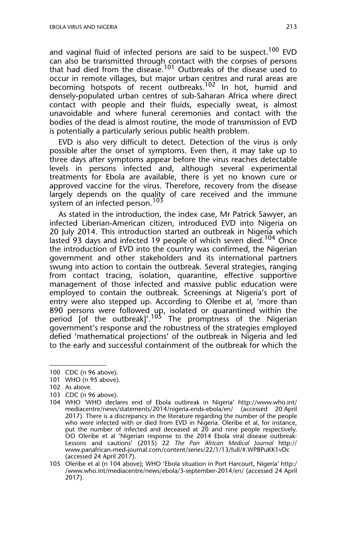and vaginal fluid of infected persons are said to be suspect.<sup>100</sup> EVD can also be transmitted through contact with the corpses of persons that had died from the disease.<sup>101</sup> Outbreaks of the disease used to occur in remote villages, but major urban centres and rural areas are becoming hotspots of recent outbreaks.<sup>102</sup> In hot, humid and densely-populated urban centres of sub-Saharan Africa where direct contact with people and their fluids, especially sweat, is almost unavoidable and where funeral ceremonies and contact with the bodies of the dead is almost routine, the mode of transmission of EVD is potentially a particularly serious public health problem.

EVD is also very difficult to detect. Detection of the virus is only possible after the onset of symptoms. Even then, it may take up to three days after symptoms appear before the virus reaches detectable levels in persons infected and, although several experimental treatments for Ebola are available, there is yet no known cure or approved vaccine for the virus. Therefore, recovery from the disease largely depends on the quality of care received and the immune system of an infected person.<sup>103</sup>

As stated in the introduction, the index case, Mr Patrick Sawyer, an infected Liberian-American citizen, introduced EVD into Nigeria on 20 July 2014. This introduction started an outbreak in Nigeria which lasted 93 days and infected 19 people of which seven died.<sup>104</sup> Once the introduction of EVD into the country was confirmed, the Nigerian government and other stakeholders and its international partners swung into action to contain the outbreak. Several strategies, ranging from contact tracing, isolation, quarantine, effective supportive management of those infected and massive public education were employed to contain the outbreak. Screenings at Nigeria's port of entry were also stepped up. According to Oleribe et al*,* 'more than 890 persons were followed up, isolated or quarantined within the period [of the outbreak]'.<sup>105</sup> The promptness of the Nigerian government's response and the robustness of the strategies employed defied 'mathematical projections' of the outbreak in Nigeria and led to the early and successful containment of the outbreak for which the

<sup>100</sup> CDC (n 96 above).

<sup>101</sup> WHO (n 95 above).

<sup>102</sup> As above.

<sup>103</sup> CDC (n 96 above).

<sup>104</sup> WHO 'WHO declares end of Ebola outbreak in Nigeria' http://www.who.int/ mediacentre/news/statements/2014/nigeria-ends-ebola/en/ (accessed 20 April 2017). There is a discrepancy in the literature regarding the number of the people who were infected with or died from EVD in Nigeria. Oleribe et al*,* for instance, put the number of infected and deceased at 20 and nine people respectively. OO Oleribe et al 'Nigerian response to the 2014 Ebola viral disease outbreak: Lessons and cautions' (2015) 22 *The Pan African Medical Journal* http:// www.panafrican-med-journal.com/content/series/22/1/13/full/#.WP8PuKK1vDc (accessed 24 April 2017).

<sup>105</sup> Oleribe et al (n 104 above); WHO 'Ebola situation in Port Harcourt, Nigeria' http:/ /www.who.int/mediacentre/news/ebola/3-september-2014/en/ (accessed 24 April 2017).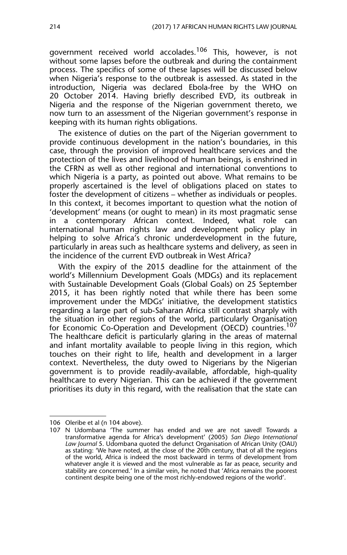government received world accolades.<sup>106</sup> This, however, is not without some lapses before the outbreak and during the containment process. The specifics of some of these lapses will be discussed below when Nigeria's response to the outbreak is assessed. As stated in the introduction, Nigeria was declared Ebola-free by the WHO on 20 October 2014. Having briefly described EVD, its outbreak in Nigeria and the response of the Nigerian government thereto, we now turn to an assessment of the Nigerian government's response in keeping with its human rights obligations.

The existence of duties on the part of the Nigerian government to provide continuous development in the nation's boundaries, in this case, through the provision of improved healthcare services and the protection of the lives and livelihood of human beings, is enshrined in the CFRN as well as other regional and international conventions to which Nigeria is a party, as pointed out above. What remains to be properly ascertained is the level of obligations placed on states to foster the development of citizens – whether as individuals or peoples. In this context, it becomes important to question what the notion of 'development' means (or ought to mean) in its most pragmatic sense in a contemporary African context. Indeed, what role can international human rights law and development policy play in helping to solve Africa's chronic underdevelopment in the future, particularly in areas such as healthcare systems and delivery, as seen in the incidence of the current EVD outbreak in West Africa?

With the expiry of the 2015 deadline for the attainment of the world's Millennium Development Goals (MDGs) and its replacement with Sustainable Development Goals (Global Goals) on 25 September 2015, it has been rightly noted that while there has been some improvement under the MDGs' initiative, the development statistics regarding a large part of sub-Saharan Africa still contrast sharply with the situation in other regions of the world, particularly Organisation for Economic Co-Operation and Development (OECD) countries.<sup>107</sup> The healthcare deficit is particularly glaring in the areas of maternal and infant mortality available to people living in this region, which touches on their right to life, health and development in a larger context. Nevertheless, the duty owed to Nigerians by the Nigerian government is to provide readily-available, affordable, high-quality healthcare to every Nigerian. This can be achieved if the government prioritises its duty in this regard, with the realisation that the state can

<sup>106</sup> Oleribe et al (n 104 above).

<sup>107</sup> N Udombana 'The summer has ended and we are not saved! Towards a transformative agenda for Africa's development' (2005) *San Diego International Law Journal* 5. Udombana quoted the defunct Organisation of African Unity (OAU) as stating: 'We have noted, at the close of the 20th century, that of all the regions of the world, Africa is indeed the most backward in terms of development from whatever angle it is viewed and the most vulnerable as far as peace, security and stability are concerned.' In a similar vein, he noted that 'Africa remains the poorest continent despite being one of the most richly-endowed regions of the world'.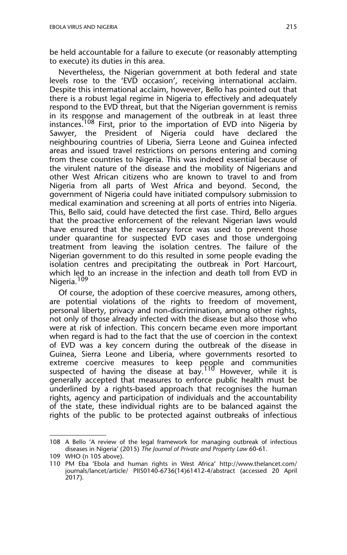be held accountable for a failure to execute (or reasonably attempting to execute) its duties in this area.

Nevertheless, the Nigerian government at both federal and state levels rose to the 'EVD occasion', receiving international acclaim. Despite this international acclaim, however, Bello has pointed out that there is a robust legal regime in Nigeria to effectively and adequately respond to the EVD threat, but that the Nigerian government is remiss in its response and management of the outbreak in at least three instances.<sup>108</sup> First, prior to the importation of EVD into Nigeria by Sawyer, the President of Nigeria could have declared the neighbouring countries of Liberia, Sierra Leone and Guinea infected areas and issued travel restrictions on persons entering and coming from these countries to Nigeria. This was indeed essential because of the virulent nature of the disease and the mobility of Nigerians and other West African citizens who are known to travel to and from Nigeria from all parts of West Africa and beyond. Second, the government of Nigeria could have initiated compulsory submission to medical examination and screening at all ports of entries into Nigeria. This, Bello said, could have detected the first case. Third, Bello argues that the proactive enforcement of the relevant Nigerian laws would have ensured that the necessary force was used to prevent those under quarantine for suspected EVD cases and those undergoing treatment from leaving the isolation centres. The failure of the Nigerian government to do this resulted in some people evading the isolation centres and precipitating the outbreak in Port Harcourt, which led to an increase in the infection and death toll from EVD in Nigeria.<sup>109</sup>

Of course, the adoption of these coercive measures, among others, are potential violations of the rights to freedom of movement, personal liberty, privacy and non-discrimination, among other rights, not only of those already infected with the disease but also those who were at risk of infection. This concern became even more important when regard is had to the fact that the use of coercion in the context of EVD was a key concern during the outbreak of the disease in Guinea, Sierra Leone and Liberia, where governments resorted to extreme coercive measures to keep people and communities suspected of having the disease at  $\frac{100}{10}$  However, while it is generally accepted that measures to enforce public health must be underlined by a rights-based approach that recognises the human rights, agency and participation of individuals and the accountability of the state, these individual rights are to be balanced against the rights of the public to be protected against outbreaks of infectious

<sup>108</sup> A Bello 'A review of the legal framework for managing outbreak of infectious diseases in Nigeria' (2015) *The Journal of Private and Property Law* 60-61.

<sup>109</sup> WHO (n 105 above).

<sup>110</sup> PM Eba 'Ebola and human rights in West Africa' http://www.thelancet.com/ journals/lancet/article/ PIIS0140-6736(14)61412-4/abstract (accessed 20 April 2017).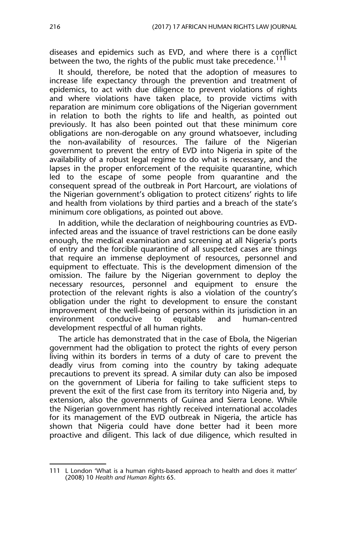diseases and epidemics such as EVD, and where there is a conflict between the two, the rights of the public must take precedence.<sup>111</sup>

It should, therefore, be noted that the adoption of measures to increase life expectancy through the prevention and treatment of epidemics, to act with due diligence to prevent violations of rights and where violations have taken place, to provide victims with reparation are minimum core obligations of the Nigerian government in relation to both the rights to life and health, as pointed out previously. It has also been pointed out that these minimum core obligations are non-derogable on any ground whatsoever, including the non-availability of resources. The failure of the Nigerian government to prevent the entry of EVD into Nigeria in spite of the availability of a robust legal regime to do what is necessary, and the lapses in the proper enforcement of the requisite quarantine, which led to the escape of some people from quarantine and the consequent spread of the outbreak in Port Harcourt, are violations of the Nigerian government's obligation to protect citizens' rights to life and health from violations by third parties and a breach of the state's minimum core obligations, as pointed out above.

In addition, while the declaration of neighbouring countries as EVDinfected areas and the issuance of travel restrictions can be done easily enough, the medical examination and screening at all Nigeria's ports of entry and the forcible quarantine of all suspected cases are things that require an immense deployment of resources, personnel and equipment to effectuate. This is the development dimension of the omission. The failure by the Nigerian government to deploy the necessary resources, personnel and equipment to ensure the protection of the relevant rights is also a violation of the country's obligation under the right to development to ensure the constant improvement of the well-being of persons within its jurisdiction in an to equitable and human-centred development respectful of all human rights.

The article has demonstrated that in the case of Ebola, the Nigerian government had the obligation to protect the rights of every person living within its borders in terms of a duty of care to prevent the deadly virus from coming into the country by taking adequate precautions to prevent its spread. A similar duty can also be imposed on the government of Liberia for failing to take sufficient steps to prevent the exit of the first case from its territory into Nigeria and, by extension, also the governments of Guinea and Sierra Leone. While the Nigerian government has rightly received international accolades for its management of the EVD outbreak in Nigeria, the article has shown that Nigeria could have done better had it been more proactive and diligent. This lack of due diligence, which resulted in

<sup>111</sup> L London 'What is a human rights-based approach to health and does it matter' (2008) 10 *Health and Human Rights* 65.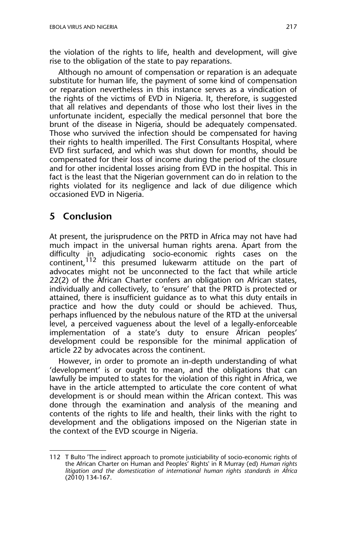the violation of the rights to life, health and development, will give rise to the obligation of the state to pay reparations.

Although no amount of compensation or reparation is an adequate substitute for human life, the payment of some kind of compensation or reparation nevertheless in this instance serves as a vindication of the rights of the victims of EVD in Nigeria. It, therefore, is suggested that all relatives and dependants of those who lost their lives in the unfortunate incident, especially the medical personnel that bore the brunt of the disease in Nigeria, should be adequately compensated. Those who survived the infection should be compensated for having their rights to health imperilled. The First Consultants Hospital, where EVD first surfaced, and which was shut down for months, should be compensated for their loss of income during the period of the closure and for other incidental losses arising from EVD in the hospital. This in fact is the least that the Nigerian government can do in relation to the rights violated for its negligence and lack of due diligence which occasioned EVD in Nigeria.

## **5 Conclusion**

At present, the jurisprudence on the PRTD in Africa may not have had much impact in the universal human rights arena. Apart from the difficulty in adjudicating socio-economic rights cases on the continent,112 this presumed lukewarm attitude on the part of advocates might not be unconnected to the fact that while article 22(2) of the African Charter confers an obligation on African states, individually and collectively, to 'ensure' that the PRTD is protected or attained, there is insufficient guidance as to what this duty entails in practice and how the duty could or should be achieved. Thus, perhaps influenced by the nebulous nature of the RTD at the universal level, a perceived vagueness about the level of a legally-enforceable implementation of a state's duty to ensure African peoples' development could be responsible for the minimal application of article 22 by advocates across the continent.

However, in order to promote an in-depth understanding of what 'development' is or ought to mean, and the obligations that can lawfully be imputed to states for the violation of this right in Africa, we have in the article attempted to articulate the core content of what development is or should mean within the African context. This was done through the examination and analysis of the meaning and contents of the rights to life and health, their links with the right to development and the obligations imposed on the Nigerian state in the context of the EVD scourge in Nigeria.

<sup>112</sup> T Bulto 'The indirect approach to promote justiciability of socio-economic rights of the African Charter on Human and Peoples' Rights' in R Murray (ed) *Human rights litigation and the domestication of international human rights standards in Africa* (2010) 134-167.